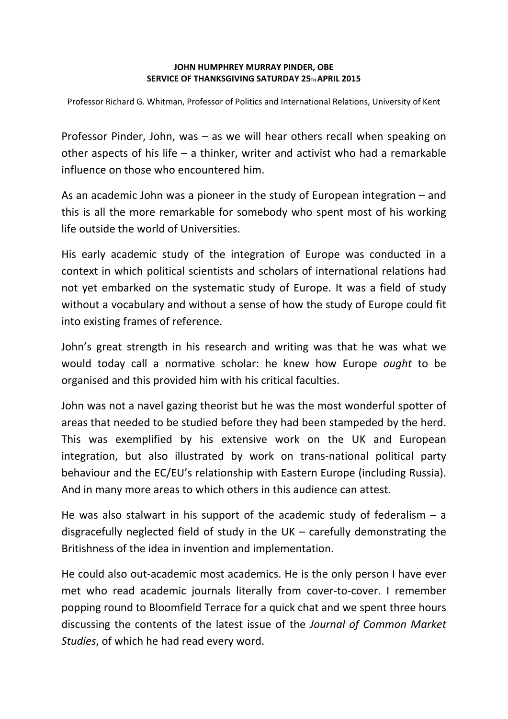## **JOHN HUMPHREY MURRAY PINDER, OBE SERVICE OF THANKSGIVING SATURDAY 25TH APRIL 2015**

Professor Richard G. Whitman, Professor of Politics and International Relations, University of Kent

Professor Pinder, John, was – as we will hear others recall when speaking on other aspects of his life – a thinker, writer and activist who had a remarkable influence on those who encountered him.

As an academic John was a pioneer in the study of European integration – and this is all the more remarkable for somebody who spent most of his working life outside the world of Universities.

His early academic study of the integration of Europe was conducted in a context in which political scientists and scholars of international relations had not yet embarked on the systematic study of Europe. It was a field of study without a vocabulary and without a sense of how the study of Europe could fit into existing frames of reference.

John's great strength in his research and writing was that he was what we would today call a normative scholar: he knew how Europe *ought* to be organised and this provided him with his critical faculties.

John was not a navel gazing theorist but he was the most wonderful spotter of areas that needed to be studied before they had been stampeded by the herd. This was exemplified by his extensive work on the UK and European integration, but also illustrated by work on trans-national political party behaviour and the EC/EU's relationship with Eastern Europe (including Russia). And in many more areas to which others in this audience can attest.

He was also stalwart in his support of the academic study of federalism  $- a$ disgracefully neglected field of study in the UK – carefully demonstrating the Britishness of the idea in invention and implementation.

He could also out-academic most academics. He is the only person I have ever met who read academic journals literally from cover‐to‐cover. I remember popping round to Bloomfield Terrace for a quick chat and we spent three hours discussing the contents of the latest issue of the *Journal of Common Market Studies*, of which he had read every word.